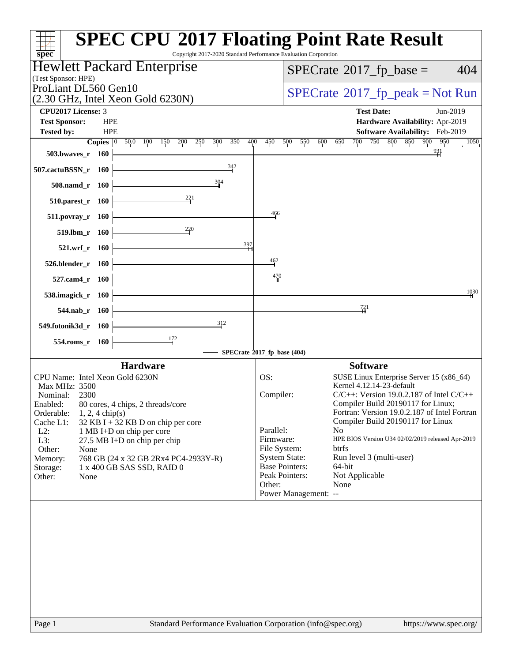| $s\overline{p}\overline{e}\overline{c}$                                                                        | <b>SPEC CPU®2017 Floating Point Rate Result</b><br>Copyright 2017-2020 Standard Performance Evaluation Corporation   |
|----------------------------------------------------------------------------------------------------------------|----------------------------------------------------------------------------------------------------------------------|
| Hewlett Packard Enterprise                                                                                     | $SPECrate^{\circ}2017$ fp base =<br>404                                                                              |
| (Test Sponsor: HPE)                                                                                            |                                                                                                                      |
| ProLiant DL560 Gen10<br>$(2.30 \text{ GHz}, \text{Intel Xeon Gold } 6230\text{N})$                             | $SPECrate^{\circ}2017$ [p_peak = Not Run                                                                             |
| <b>CPU2017 License: 3</b>                                                                                      | <b>Test Date:</b><br>Jun-2019                                                                                        |
| <b>Test Sponsor:</b><br><b>HPE</b>                                                                             | Hardware Availability: Apr-2019                                                                                      |
| <b>HPE</b><br><b>Tested by:</b><br>Copies $ 0\rangle$<br>50.0<br>100<br>200<br>250<br>300<br>350<br>400<br>150 | Software Availability: Feb-2019<br>900<br>450<br>700<br>750<br>800<br>850<br>950<br>500<br>550<br>600<br>650<br>1050 |
| 503.bwaves_r 160                                                                                               | $\frac{931}{1}$                                                                                                      |
| 342<br>507.cactuBSSN_r 160                                                                                     |                                                                                                                      |
| 304<br>508.namd r 160                                                                                          |                                                                                                                      |
| $\frac{221}{2}$<br>510.parest_r 160                                                                            |                                                                                                                      |
| 511.povray_r 160                                                                                               | 466                                                                                                                  |
| $^{220}$<br>519.lbm_r 160                                                                                      |                                                                                                                      |
| 397<br>521.wrf_r 160                                                                                           |                                                                                                                      |
| 526.blender_r 160                                                                                              | $\frac{462}{5}$                                                                                                      |
| 527.cam4_r 160                                                                                                 | 470                                                                                                                  |
| 538.imagick_r 160                                                                                              | 1030                                                                                                                 |
| 544.nab $r$ 160                                                                                                | $\frac{721}{4}$                                                                                                      |
| 312<br>549.fotonik3d_r 160                                                                                     |                                                                                                                      |
| 172<br>554.roms_r 160                                                                                          |                                                                                                                      |
|                                                                                                                | SPECrate®2017_fp_base (404)                                                                                          |
| <b>Hardware</b>                                                                                                | <b>Software</b>                                                                                                      |
| CPU Name: Intel Xeon Gold 6230N<br><b>Max MHz: 3500</b>                                                        | OS:<br>SUSE Linux Enterprise Server 15 (x86_64)<br>Kernel 4.12.14-23-default                                         |
| Nominal:<br>2300                                                                                               | Compiler:<br>$C/C++$ : Version 19.0.2.187 of Intel $C/C++$                                                           |
| 80 cores, 4 chips, 2 threads/core<br>Enabled:<br>Orderable:<br>$1, 2, 4$ chip(s)                               | Compiler Build 20190117 for Linux;<br>Fortran: Version 19.0.2.187 of Intel Fortran                                   |
| Cache L1:<br>$32$ KB I + 32 KB D on chip per core                                                              | Compiler Build 20190117 for Linux                                                                                    |
| $L2$ :<br>1 MB I+D on chip per core                                                                            | Parallel:<br>No.<br>Firmware:<br>HPE BIOS Version U34 02/02/2019 released Apr-2019                                   |
| L3:<br>27.5 MB I+D on chip per chip                                                                            | File System:<br>btrfs                                                                                                |
| Other:<br>None<br>Memory:<br>768 GB (24 x 32 GB 2Rx4 PC4-2933Y-R)                                              | <b>System State:</b><br>Run level 3 (multi-user)                                                                     |
| 1 x 400 GB SAS SSD, RAID 0<br>Storage:                                                                         | <b>Base Pointers:</b><br>64-bit                                                                                      |
| Other:<br>None                                                                                                 | Peak Pointers:<br>Not Applicable                                                                                     |
|                                                                                                                | None<br>Other:<br>Power Management: --                                                                               |
|                                                                                                                |                                                                                                                      |
|                                                                                                                |                                                                                                                      |
|                                                                                                                |                                                                                                                      |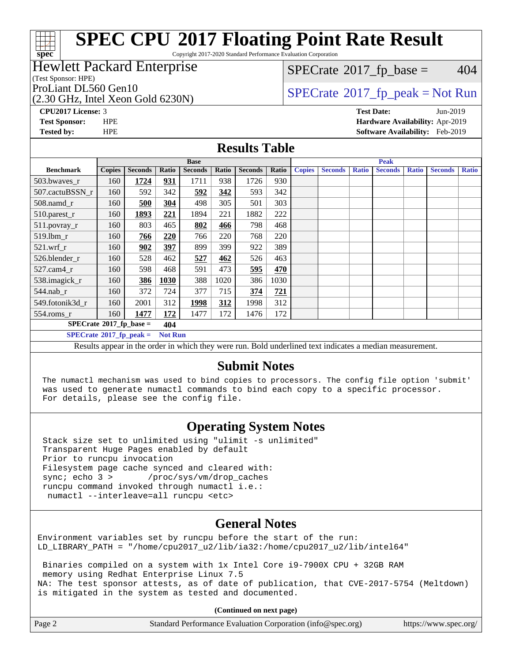# **[spec](http://www.spec.org/)**

# **[SPEC CPU](http://www.spec.org/auto/cpu2017/Docs/result-fields.html#SPECCPU2017FloatingPointRateResult)[2017 Floating Point Rate Result](http://www.spec.org/auto/cpu2017/Docs/result-fields.html#SPECCPU2017FloatingPointRateResult)**

Copyright 2017-2020 Standard Performance Evaluation Corporation

#### Hewlett Packard Enterprise

(Test Sponsor: HPE)

(2.30 GHz, Intel Xeon Gold 6230N)

 $SPECTate$ <sup>®</sup>[2017\\_fp\\_base =](http://www.spec.org/auto/cpu2017/Docs/result-fields.html#SPECrate2017fpbase) 404

### ProLiant DL560 Gen10<br>  $\begin{array}{c}\n\text{SPECrate} \textcirc 2017\_fp\_peak = Not Run \\
\text{SPECrate} \textcirc 2017\_fp\_peak = Not Run\n\end{array}$  $\begin{array}{c}\n\text{SPECrate} \textcirc 2017\_fp\_peak = Not Run \\
\text{SPECrate} \textcirc 2017\_fp\_peak = Not Run\n\end{array}$  $\begin{array}{c}\n\text{SPECrate} \textcirc 2017\_fp\_peak = Not Run \\
\text{SPECrate} \textcirc 2017\_fp\_peak = Not Run\n\end{array}$

**[CPU2017 License:](http://www.spec.org/auto/cpu2017/Docs/result-fields.html#CPU2017License)** 3 **[Test Date:](http://www.spec.org/auto/cpu2017/Docs/result-fields.html#TestDate)** Jun-2019 **[Test Sponsor:](http://www.spec.org/auto/cpu2017/Docs/result-fields.html#TestSponsor)** HPE **[Hardware Availability:](http://www.spec.org/auto/cpu2017/Docs/result-fields.html#HardwareAvailability)** Apr-2019 **[Tested by:](http://www.spec.org/auto/cpu2017/Docs/result-fields.html#Testedby)** HPE **[Software Availability:](http://www.spec.org/auto/cpu2017/Docs/result-fields.html#SoftwareAvailability)** Feb-2019

#### **[Results Table](http://www.spec.org/auto/cpu2017/Docs/result-fields.html#ResultsTable)**

|                                                     |               |                |       | <b>Base</b>    |       |                           | <b>Peak</b> |                                                                            |                |              |                |              |                |              |
|-----------------------------------------------------|---------------|----------------|-------|----------------|-------|---------------------------|-------------|----------------------------------------------------------------------------|----------------|--------------|----------------|--------------|----------------|--------------|
| <b>Benchmark</b>                                    | <b>Copies</b> | <b>Seconds</b> | Ratio | <b>Seconds</b> | Ratio | <b>Seconds</b>            | Ratio       | <b>Copies</b>                                                              | <b>Seconds</b> | <b>Ratio</b> | <b>Seconds</b> | <b>Ratio</b> | <b>Seconds</b> | <b>Ratio</b> |
| 503.bwaves_r                                        | 160           | 1724           | 931   | 1711           | 938   | 1726                      | 930         |                                                                            |                |              |                |              |                |              |
| 507.cactuBSSN r                                     | 160           | 592            | 342   | 592            | 342   | 593                       | 342         |                                                                            |                |              |                |              |                |              |
| $508$ .namd $r$                                     | 160           | 500            | 304   | 498            | 305   | 501                       | 303         |                                                                            |                |              |                |              |                |              |
| 510.parest_r                                        | 160           | 1893           | 221   | 1894           | 221   | 1882                      | 222         |                                                                            |                |              |                |              |                |              |
| 511.povray_r                                        | 160           | 803            | 465   | 802            | 466   | 798                       | 468         |                                                                            |                |              |                |              |                |              |
| $519.1$ bm r                                        | 160           | 766            | 220   | 766            | 220   | 768                       | 220         |                                                                            |                |              |                |              |                |              |
| $521$ .wrf r                                        | 160           | 902            | 397   | 899            | 399   | 922                       | 389         |                                                                            |                |              |                |              |                |              |
| 526.blender r                                       | 160           | 528            | 462   | 527            | 462   | 526                       | 463         |                                                                            |                |              |                |              |                |              |
| $527$ .cam $4r$                                     | 160           | 598            | 468   | 591            | 473   | 595                       | 470         |                                                                            |                |              |                |              |                |              |
| 538.imagick_r                                       | 160           | 386            | 1030  | 388            | 1020  | 386                       | 1030        |                                                                            |                |              |                |              |                |              |
| 544.nab r                                           | 160           | 372            | 724   | 377            | 715   | 374                       | 721         |                                                                            |                |              |                |              |                |              |
| 549.fotonik3d r                                     | 160           | 2001           | 312   | 1998           | 312   | 1998                      | 312         |                                                                            |                |              |                |              |                |              |
| $554$ .roms_r                                       | 160           | 1477           | 172   | 1477           | 172   | 1476                      | 172         |                                                                            |                |              |                |              |                |              |
| $SPECrate*2017_fp\_base =$<br>404                   |               |                |       |                |       |                           |             |                                                                            |                |              |                |              |                |              |
| $SPECrate^{\circ}2017_fp\_peak =$<br><b>Not Run</b> |               |                |       |                |       |                           |             |                                                                            |                |              |                |              |                |              |
| $\sim$                                              |               | $\sim$ $\sim$  |       | .              |       | $\mathbf{r}$ $\mathbf{r}$ |             | $-1$ , $-1$ , $-1$ , $-1$ , $-1$ , $-1$ , $-1$ , $-1$ , $-1$ , $-1$ , $-1$ |                |              | $\bullet$      |              |                |              |

Results appear in the [order in which they were run](http://www.spec.org/auto/cpu2017/Docs/result-fields.html#RunOrder). Bold underlined text [indicates a median measurement.](http://www.spec.org/auto/cpu2017/Docs/result-fields.html#Median)

#### **[Submit Notes](http://www.spec.org/auto/cpu2017/Docs/result-fields.html#SubmitNotes)**

 The numactl mechanism was used to bind copies to processors. The config file option 'submit' was used to generate numactl commands to bind each copy to a specific processor. For details, please see the config file.

#### **[Operating System Notes](http://www.spec.org/auto/cpu2017/Docs/result-fields.html#OperatingSystemNotes)**

 Stack size set to unlimited using "ulimit -s unlimited" Transparent Huge Pages enabled by default Prior to runcpu invocation Filesystem page cache synced and cleared with: sync; echo 3 > /proc/sys/vm/drop\_caches runcpu command invoked through numactl i.e.: numactl --interleave=all runcpu <etc>

#### **[General Notes](http://www.spec.org/auto/cpu2017/Docs/result-fields.html#GeneralNotes)**

Environment variables set by runcpu before the start of the run: LD\_LIBRARY\_PATH = "/home/cpu2017\_u2/lib/ia32:/home/cpu2017\_u2/lib/intel64"

 Binaries compiled on a system with 1x Intel Core i9-7900X CPU + 32GB RAM memory using Redhat Enterprise Linux 7.5 NA: The test sponsor attests, as of date of publication, that CVE-2017-5754 (Meltdown) is mitigated in the system as tested and documented.

**(Continued on next page)**

| Page 2 | Standard Performance Evaluation Corporation (info@spec.org) | https://www.spec.org/ |
|--------|-------------------------------------------------------------|-----------------------|
|--------|-------------------------------------------------------------|-----------------------|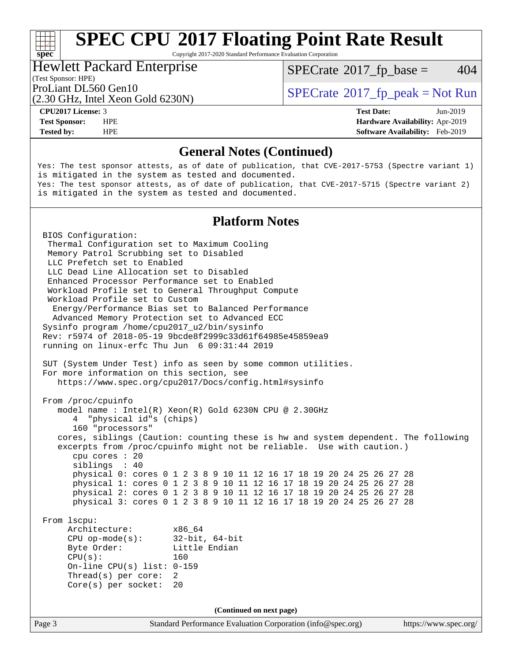# **[SPEC CPU](http://www.spec.org/auto/cpu2017/Docs/result-fields.html#SPECCPU2017FloatingPointRateResult)[2017 Floating Point Rate Result](http://www.spec.org/auto/cpu2017/Docs/result-fields.html#SPECCPU2017FloatingPointRateResult)**

Copyright 2017-2020 Standard Performance Evaluation Corporation

#### Hewlett Packard Enterprise

(Test Sponsor: HPE)

 $SPECTate$ <sup>®</sup>[2017\\_fp\\_base =](http://www.spec.org/auto/cpu2017/Docs/result-fields.html#SPECrate2017fpbase) 404

(2.30 GHz, Intel Xeon Gold 6230N)

ProLiant DL560 Gen10<br>(2.30 GHz, Intel Xeon Gold 6230N) [SPECrate](http://www.spec.org/auto/cpu2017/Docs/result-fields.html#SPECrate2017fppeak)®[2017\\_fp\\_peak = N](http://www.spec.org/auto/cpu2017/Docs/result-fields.html#SPECrate2017fppeak)ot Run

**[spec](http://www.spec.org/)**

**[Tested by:](http://www.spec.org/auto/cpu2017/Docs/result-fields.html#Testedby)** HPE **[Software Availability:](http://www.spec.org/auto/cpu2017/Docs/result-fields.html#SoftwareAvailability)** Feb-2019

**[CPU2017 License:](http://www.spec.org/auto/cpu2017/Docs/result-fields.html#CPU2017License)** 3 **[Test Date:](http://www.spec.org/auto/cpu2017/Docs/result-fields.html#TestDate)** Jun-2019 **[Test Sponsor:](http://www.spec.org/auto/cpu2017/Docs/result-fields.html#TestSponsor)** HPE **[Hardware Availability:](http://www.spec.org/auto/cpu2017/Docs/result-fields.html#HardwareAvailability)** Apr-2019

#### **[General Notes \(Continued\)](http://www.spec.org/auto/cpu2017/Docs/result-fields.html#GeneralNotes)**

Yes: The test sponsor attests, as of date of publication, that CVE-2017-5753 (Spectre variant 1) is mitigated in the system as tested and documented. Yes: The test sponsor attests, as of date of publication, that CVE-2017-5715 (Spectre variant 2) is mitigated in the system as tested and documented.

#### **[Platform Notes](http://www.spec.org/auto/cpu2017/Docs/result-fields.html#PlatformNotes)**

Page 3 Standard Performance Evaluation Corporation [\(info@spec.org\)](mailto:info@spec.org) <https://www.spec.org/> BIOS Configuration: Thermal Configuration set to Maximum Cooling Memory Patrol Scrubbing set to Disabled LLC Prefetch set to Enabled LLC Dead Line Allocation set to Disabled Enhanced Processor Performance set to Enabled Workload Profile set to General Throughput Compute Workload Profile set to Custom Energy/Performance Bias set to Balanced Performance Advanced Memory Protection set to Advanced ECC Sysinfo program /home/cpu2017\_u2/bin/sysinfo Rev: r5974 of 2018-05-19 9bcde8f2999c33d61f64985e45859ea9 running on linux-erfc Thu Jun 6 09:31:44 2019 SUT (System Under Test) info as seen by some common utilities. For more information on this section, see <https://www.spec.org/cpu2017/Docs/config.html#sysinfo> From /proc/cpuinfo model name : Intel(R) Xeon(R) Gold 6230N CPU @ 2.30GHz 4 "physical id"s (chips) 160 "processors" cores, siblings (Caution: counting these is hw and system dependent. The following excerpts from /proc/cpuinfo might not be reliable. Use with caution.) cpu cores : 20 siblings : 40 physical 0: cores 0 1 2 3 8 9 10 11 12 16 17 18 19 20 24 25 26 27 28 physical 1: cores 0 1 2 3 8 9 10 11 12 16 17 18 19 20 24 25 26 27 28 physical 2: cores 0 1 2 3 8 9 10 11 12 16 17 18 19 20 24 25 26 27 28 physical 3: cores 0 1 2 3 8 9 10 11 12 16 17 18 19 20 24 25 26 27 28 From lscpu: Architecture: x86\_64 CPU op-mode(s): 32-bit, 64-bit Byte Order: Little Endian  $CPU(s):$  160 On-line CPU(s) list: 0-159 Thread(s) per core: 2 Core(s) per socket: 20 **(Continued on next page)**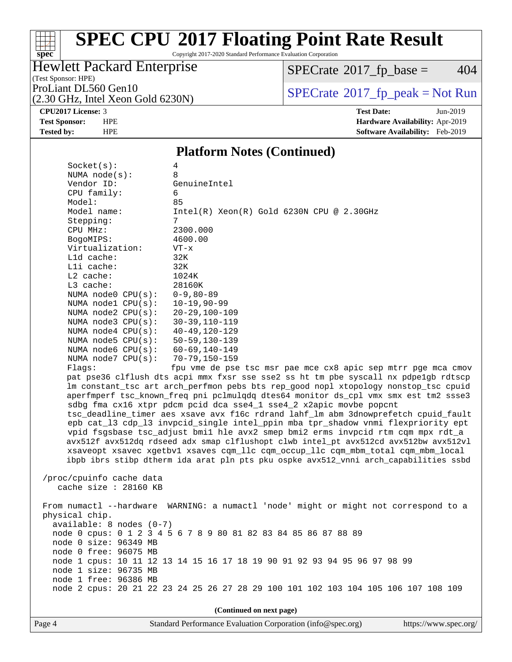# **[spec](http://www.spec.org/)**

# **[SPEC CPU](http://www.spec.org/auto/cpu2017/Docs/result-fields.html#SPECCPU2017FloatingPointRateResult)[2017 Floating Point Rate Result](http://www.spec.org/auto/cpu2017/Docs/result-fields.html#SPECCPU2017FloatingPointRateResult)**

Copyright 2017-2020 Standard Performance Evaluation Corporation

#### Hewlett Packard Enterprise

 $SPECTate@2017_fp\_base = 404$ 

(Test Sponsor: HPE) (2.30 GHz, Intel Xeon Gold 6230N)

ProLiant DL560 Gen10<br>  $(2, 30 \text{ GHz})$  Intel Xeon Gold 6230N)

**[CPU2017 License:](http://www.spec.org/auto/cpu2017/Docs/result-fields.html#CPU2017License)** 3 **[Test Date:](http://www.spec.org/auto/cpu2017/Docs/result-fields.html#TestDate)** Jun-2019

**[Test Sponsor:](http://www.spec.org/auto/cpu2017/Docs/result-fields.html#TestSponsor)** HPE **[Hardware Availability:](http://www.spec.org/auto/cpu2017/Docs/result-fields.html#HardwareAvailability)** Apr-2019 **[Tested by:](http://www.spec.org/auto/cpu2017/Docs/result-fields.html#Testedby)** HPE **[Software Availability:](http://www.spec.org/auto/cpu2017/Docs/result-fields.html#SoftwareAvailability)** Feb-2019

#### **[Platform Notes \(Continued\)](http://www.spec.org/auto/cpu2017/Docs/result-fields.html#PlatformNotes)**

| Socket(s):                                   | 4                                                                                    |
|----------------------------------------------|--------------------------------------------------------------------------------------|
| NUMA $node(s):$                              | 8                                                                                    |
| Vendor ID:                                   | GenuineIntel                                                                         |
| CPU family:                                  | б.                                                                                   |
| Model:                                       | 85                                                                                   |
| Model name:                                  | $Intel(R) Xeon(R) Gold 6230N CPU @ 2.30GHz$                                          |
| Stepping:                                    | 7                                                                                    |
| CPU MHz:                                     | 2300.000                                                                             |
| BogoMIPS:                                    | 4600.00                                                                              |
| Virtualization:                              | $VT - x$                                                                             |
| L1d cache:                                   | 32K                                                                                  |
| Lli cache:                                   | 32K                                                                                  |
| L2 cache:                                    | 1024K                                                                                |
| L3 cache:                                    | 28160K                                                                               |
| NUMA node0 CPU(s):                           | $0 - 9, 80 - 89$                                                                     |
| NUMA nodel $CPU(s):$                         | $10 - 19,90 - 99$                                                                    |
| NUMA $node2$ $CPU(s):$                       | $20 - 29, 100 - 109$                                                                 |
| NUMA $node3$ $CPU(s):$                       | $30 - 39, 110 - 119$                                                                 |
| NUMA $node4$ $CPU(s):$<br>NUMA node5 CPU(s): | $40 - 49, 120 - 129$<br>$50 - 59, 130 - 139$                                         |
| NUMA $node6$ $CPU(s):$                       | $60 - 69, 140 - 149$                                                                 |
| NUMA $node7$ CPU $(s)$ :                     | $70 - 79, 150 - 159$                                                                 |
| Flags:                                       | fpu vme de pse tsc msr pae mce cx8 apic sep mtrr pge mca cmov                        |
|                                              | pat pse36 clflush dts acpi mmx fxsr sse sse2 ss ht tm pbe syscall nx pdpe1gb rdtscp  |
|                                              | lm constant_tsc art arch_perfmon pebs bts rep_good nopl xtopology nonstop_tsc cpuid  |
|                                              | aperfmperf tsc_known_freq pni pclmulqdq dtes64 monitor ds_cpl vmx smx est tm2 ssse3  |
|                                              | sdbg fma cx16 xtpr pdcm pcid dca sse4_1 sse4_2 x2apic movbe popcnt                   |
|                                              | tsc_deadline_timer aes xsave avx f16c rdrand lahf_lm abm 3dnowprefetch cpuid_fault   |
|                                              | epb cat_13 cdp_13 invpcid_single intel_ppin mba tpr_shadow vnmi flexpriority ept     |
|                                              | vpid fsgsbase tsc_adjust bmil hle avx2 smep bmi2 erms invpcid rtm cqm mpx rdt_a      |
|                                              | avx512f avx512dq rdseed adx smap clflushopt clwb intel_pt avx512cd avx512bw avx512vl |
|                                              | xsaveopt xsavec xgetbvl xsaves cqm_llc cqm_occup_llc cqm_mbm_total cqm_mbm_local     |
|                                              | ibpb ibrs stibp dtherm ida arat pln pts pku ospke avx512_vnni arch_capabilities ssbd |
|                                              |                                                                                      |
| /proc/cpuinfo cache data                     |                                                                                      |
| cache size : 28160 KB                        |                                                                                      |
|                                              |                                                                                      |
|                                              | From numactl --hardware WARNING: a numactl 'node' might or might not correspond to a |
| physical chip.                               |                                                                                      |
| $available: 8 nodes (0-7)$                   | node 0 cpus: 0 1 2 3 4 5 6 7 8 9 80 81 82 83 84 85 86 87 88 89                       |
| node 0 size: 96349 MB                        |                                                                                      |
| node 0 free: 96075 MB                        |                                                                                      |
|                                              | node 1 cpus: 10 11 12 13 14 15 16 17 18 19 90 91 92 93 94 95 96 97 98 99             |
| node 1 size: 96735 MB                        |                                                                                      |
| node 1 free: 96386 MB                        |                                                                                      |
|                                              | node 2 cpus: 20 21 22 23 24 25 26 27 28 29 100 101 102 103 104 105 106 107 108 109   |
|                                              |                                                                                      |
|                                              | (Continued on next page)                                                             |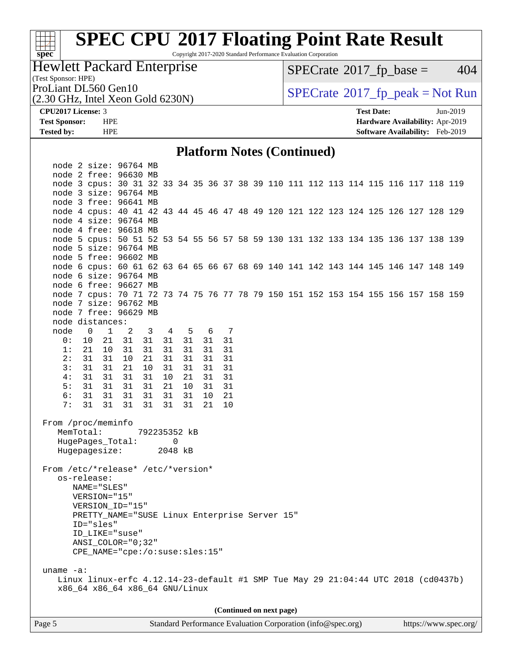# **[spec](http://www.spec.org/)**

# **[SPEC CPU](http://www.spec.org/auto/cpu2017/Docs/result-fields.html#SPECCPU2017FloatingPointRateResult)[2017 Floating Point Rate Result](http://www.spec.org/auto/cpu2017/Docs/result-fields.html#SPECCPU2017FloatingPointRateResult)**

Copyright 2017-2020 Standard Performance Evaluation Corporation

### Hewlett Packard Enterprise

 $SPECTate@2017_fp\_base = 404$ 

(Test Sponsor: HPE)

(2.30 GHz, Intel Xeon Gold 6230N)

ProLiant DL560 Gen10<br>  $(2, 30 \text{ GHz})$  Intel Xeon Gold 6230N)

**[CPU2017 License:](http://www.spec.org/auto/cpu2017/Docs/result-fields.html#CPU2017License)** 3 **[Test Date:](http://www.spec.org/auto/cpu2017/Docs/result-fields.html#TestDate)** Jun-2019 **[Test Sponsor:](http://www.spec.org/auto/cpu2017/Docs/result-fields.html#TestSponsor)** HPE **[Hardware Availability:](http://www.spec.org/auto/cpu2017/Docs/result-fields.html#HardwareAvailability)** Apr-2019 **[Tested by:](http://www.spec.org/auto/cpu2017/Docs/result-fields.html#Testedby)** HPE **[Software Availability:](http://www.spec.org/auto/cpu2017/Docs/result-fields.html#SoftwareAvailability)** Feb-2019

#### **[Platform Notes \(Continued\)](http://www.spec.org/auto/cpu2017/Docs/result-fields.html#PlatformNotes)**

|                                                                                                   | node 2 size: 96764 MB                                                              |                            |                         |    |       |       |    |  |                          |  |  |  |  |  |
|---------------------------------------------------------------------------------------------------|------------------------------------------------------------------------------------|----------------------------|-------------------------|----|-------|-------|----|--|--------------------------|--|--|--|--|--|
|                                                                                                   | node 2 free: 96630 MB                                                              |                            |                         |    |       |       |    |  |                          |  |  |  |  |  |
|                                                                                                   | node 3 cpus: 30 31 32 33 34 35 36 37 38 39 110 111 112 113 114 115 116 117 118 119 |                            |                         |    |       |       |    |  |                          |  |  |  |  |  |
|                                                                                                   | node 3 size: 96764 MB                                                              |                            |                         |    |       |       |    |  |                          |  |  |  |  |  |
|                                                                                                   | node 3 free: 96641 MB                                                              |                            |                         |    |       |       |    |  |                          |  |  |  |  |  |
|                                                                                                   | node 4 cpus: 40 41 42 43 44 45 46 47 48 49 120 121 122 123 124 125 126 127 128 129 |                            |                         |    |       |       |    |  |                          |  |  |  |  |  |
|                                                                                                   | node 4 size: 96764 MB                                                              |                            |                         |    |       |       |    |  |                          |  |  |  |  |  |
|                                                                                                   | node 4 free: 96618 MB                                                              |                            |                         |    |       |       |    |  |                          |  |  |  |  |  |
|                                                                                                   | node 5 cpus: 50 51 52 53 54 55 56 57 58 59 130 131 132 133 134 135 136 137 138 139 |                            |                         |    |       |       |    |  |                          |  |  |  |  |  |
|                                                                                                   | node 5 size: 96764 MB                                                              |                            |                         |    |       |       |    |  |                          |  |  |  |  |  |
|                                                                                                   | node 5 free: 96602 MB                                                              |                            |                         |    |       |       |    |  |                          |  |  |  |  |  |
|                                                                                                   | node 6 cpus: 60 61 62 63 64 65 66 67 68 69 140 141 142 143 144 145 146 147 148 149 |                            |                         |    |       |       |    |  |                          |  |  |  |  |  |
|                                                                                                   | node 6 size: 96764 MB                                                              |                            |                         |    |       |       |    |  |                          |  |  |  |  |  |
|                                                                                                   | node 6 free: 96627 MB                                                              |                            |                         |    |       |       |    |  |                          |  |  |  |  |  |
|                                                                                                   | node 7 cpus: 70 71 72 73 74 75 76 77 78 79 150 151 152 153 154 155 156 157 158 159 |                            |                         |    |       |       |    |  |                          |  |  |  |  |  |
|                                                                                                   | node 7 size: 96762 MB                                                              |                            |                         |    |       |       |    |  |                          |  |  |  |  |  |
|                                                                                                   | node 7 free: 96629 MB                                                              |                            |                         |    |       |       |    |  |                          |  |  |  |  |  |
|                                                                                                   | node distances:                                                                    |                            |                         |    |       |       |    |  |                          |  |  |  |  |  |
| node                                                                                              | $0\qquad1$                                                                         | $\overline{\phantom{a}}^2$ | $\overline{\mathbf{3}}$ |    | 4 5   | 6 7   |    |  |                          |  |  |  |  |  |
| 0:                                                                                                | 10<br>21                                                                           | 31                         | 31 31 31                |    |       | 31 31 |    |  |                          |  |  |  |  |  |
| 1:                                                                                                | 21 10                                                                              | 31                         | 31                      |    | 31 31 | 31    | 31 |  |                          |  |  |  |  |  |
| 2:                                                                                                | 31 31                                                                              | 10                         | 21                      | 31 | 31    | 31    | 31 |  |                          |  |  |  |  |  |
| 3:                                                                                                | 31 31                                                                              | 21                         | 10                      | 31 | 31    | 31    | 31 |  |                          |  |  |  |  |  |
| 4:                                                                                                | 31 31                                                                              | 31                         | 31                      | 10 | 21    | 31    | 31 |  |                          |  |  |  |  |  |
| 5:                                                                                                | 31 31                                                                              | 31                         | 31                      | 21 | 10    | 31    | 31 |  |                          |  |  |  |  |  |
| 6:                                                                                                | 31 31                                                                              | 31                         | 31                      |    | 31 31 | 10    | 21 |  |                          |  |  |  |  |  |
| 7:                                                                                                | 31 31 31                                                                           |                            | 31                      |    | 31 31 | 21    | 10 |  |                          |  |  |  |  |  |
|                                                                                                   |                                                                                    |                            |                         |    |       |       |    |  |                          |  |  |  |  |  |
| From /proc/meminfo                                                                                |                                                                                    |                            |                         |    |       |       |    |  |                          |  |  |  |  |  |
| MemTotal:                                                                                         |                                                                                    |                            | 792235352 kB            |    |       |       |    |  |                          |  |  |  |  |  |
|                                                                                                   | HugePages_Total:                                                                   |                            |                         | 0  |       |       |    |  |                          |  |  |  |  |  |
|                                                                                                   | Hugepagesize: 2048 kB                                                              |                            |                         |    |       |       |    |  |                          |  |  |  |  |  |
|                                                                                                   |                                                                                    |                            |                         |    |       |       |    |  |                          |  |  |  |  |  |
| From /etc/*release* /etc/*version*                                                                |                                                                                    |                            |                         |    |       |       |    |  |                          |  |  |  |  |  |
|                                                                                                   | os-release:                                                                        |                            |                         |    |       |       |    |  |                          |  |  |  |  |  |
|                                                                                                   | NAME="SLES"                                                                        |                            |                         |    |       |       |    |  |                          |  |  |  |  |  |
|                                                                                                   | VERSION="15"                                                                       |                            |                         |    |       |       |    |  |                          |  |  |  |  |  |
|                                                                                                   | VERSION_ID="15"                                                                    |                            |                         |    |       |       |    |  |                          |  |  |  |  |  |
|                                                                                                   | PRETTY_NAME="SUSE Linux Enterprise Server 15"                                      |                            |                         |    |       |       |    |  |                          |  |  |  |  |  |
|                                                                                                   | ID="sles"                                                                          |                            |                         |    |       |       |    |  |                          |  |  |  |  |  |
|                                                                                                   | ID LIKE="suse"                                                                     |                            |                         |    |       |       |    |  |                          |  |  |  |  |  |
|                                                                                                   | ANSI COLOR="0;32"                                                                  |                            |                         |    |       |       |    |  |                          |  |  |  |  |  |
|                                                                                                   | CPE NAME="cpe:/o:suse:sles:15"                                                     |                            |                         |    |       |       |    |  |                          |  |  |  |  |  |
|                                                                                                   |                                                                                    |                            |                         |    |       |       |    |  |                          |  |  |  |  |  |
| uname $-a$ :<br>Linux linux-erfc 4.12.14-23-default #1 SMP Tue May 29 21:04:44 UTC 2018 (cd0437b) |                                                                                    |                            |                         |    |       |       |    |  |                          |  |  |  |  |  |
|                                                                                                   | x86_64 x86_64 x86_64 GNU/Linux                                                     |                            |                         |    |       |       |    |  |                          |  |  |  |  |  |
|                                                                                                   |                                                                                    |                            |                         |    |       |       |    |  |                          |  |  |  |  |  |
|                                                                                                   |                                                                                    |                            |                         |    |       |       |    |  |                          |  |  |  |  |  |
|                                                                                                   |                                                                                    |                            |                         |    |       |       |    |  | (Continued on next page) |  |  |  |  |  |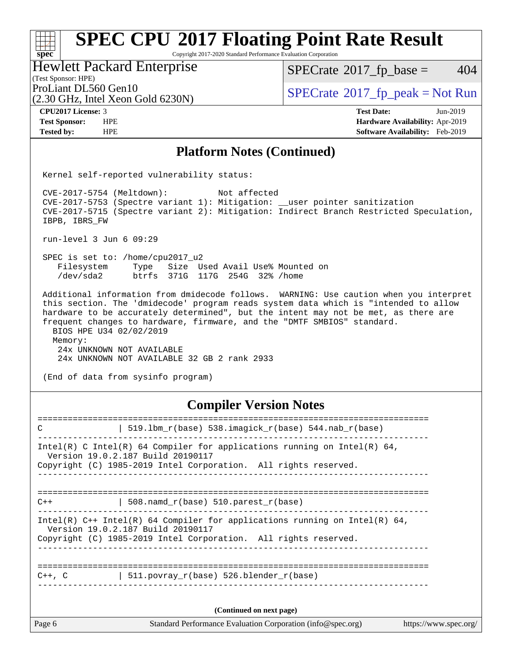#### **[spec](http://www.spec.org/)**<sup>®</sup> **[SPEC CPU](http://www.spec.org/auto/cpu2017/Docs/result-fields.html#SPECCPU2017FloatingPointRateResult)[2017 Floating Point Rate Result](http://www.spec.org/auto/cpu2017/Docs/result-fields.html#SPECCPU2017FloatingPointRateResult)** Copyright 2017-2020 Standard Performance Evaluation Corporation

#### Hewlett Packard Enterprise

 $SPECTate$ <sup>®</sup>[2017\\_fp\\_base =](http://www.spec.org/auto/cpu2017/Docs/result-fields.html#SPECrate2017fpbase) 404

#### (Test Sponsor: HPE)

(2.30 GHz, Intel Xeon Gold 6230N)

ProLiant DL560 Gen10<br>  $\begin{array}{c}\n\text{SPECrate} \textcirc 2017\_fp\_peak = Not Run \\
\text{SPECrate} \textcirc 2017\_fp\_peak = Not Run\n\end{array}$  $\begin{array}{c}\n\text{SPECrate} \textcirc 2017\_fp\_peak = Not Run \\
\text{SPECrate} \textcirc 2017\_fp\_peak = Not Run\n\end{array}$  $\begin{array}{c}\n\text{SPECrate} \textcirc 2017\_fp\_peak = Not Run \\
\text{SPECrate} \textcirc 2017\_fp\_peak = Not Run\n\end{array}$ 

**[Tested by:](http://www.spec.org/auto/cpu2017/Docs/result-fields.html#Testedby)** HPE **[Software Availability:](http://www.spec.org/auto/cpu2017/Docs/result-fields.html#SoftwareAvailability)** Feb-2019

**[CPU2017 License:](http://www.spec.org/auto/cpu2017/Docs/result-fields.html#CPU2017License)** 3 **[Test Date:](http://www.spec.org/auto/cpu2017/Docs/result-fields.html#TestDate)** Jun-2019 **[Test Sponsor:](http://www.spec.org/auto/cpu2017/Docs/result-fields.html#TestSponsor)** HPE **[Hardware Availability:](http://www.spec.org/auto/cpu2017/Docs/result-fields.html#HardwareAvailability)** Apr-2019

#### **[Platform Notes \(Continued\)](http://www.spec.org/auto/cpu2017/Docs/result-fields.html#PlatformNotes)**

Kernel self-reported vulnerability status:

 CVE-2017-5754 (Meltdown): Not affected CVE-2017-5753 (Spectre variant 1): Mitigation: \_\_user pointer sanitization CVE-2017-5715 (Spectre variant 2): Mitigation: Indirect Branch Restricted Speculation, IBPB, IBRS\_FW

run-level 3 Jun 6 09:29

 SPEC is set to: /home/cpu2017\_u2 Filesystem Type Size Used Avail Use% Mounted on /dev/sda2 btrfs 371G 117G 254G 32% /home

 Additional information from dmidecode follows. WARNING: Use caution when you interpret this section. The 'dmidecode' program reads system data which is "intended to allow hardware to be accurately determined", but the intent may not be met, as there are frequent changes to hardware, firmware, and the "DMTF SMBIOS" standard. BIOS HPE U34 02/02/2019 Memory: 24x UNKNOWN NOT AVAILABLE 24x UNKNOWN NOT AVAILABLE 32 GB 2 rank 2933

(End of data from sysinfo program)

#### **[Compiler Version Notes](http://www.spec.org/auto/cpu2017/Docs/result-fields.html#CompilerVersionNotes)**

| Page 6      | Standard Performance Evaluation Corporation (info@spec.org)                                                                                                                          | https://www.spec.org/ |
|-------------|--------------------------------------------------------------------------------------------------------------------------------------------------------------------------------------|-----------------------|
|             | (Continued on next page)                                                                                                                                                             |                       |
| $C++$ , $C$ | 511. povray $r(base)$ 526. blender $r(base)$                                                                                                                                         |                       |
|             | Intel(R) $C++$ Intel(R) 64 Compiler for applications running on Intel(R) 64,<br>Version 19.0.2.187 Build 20190117<br>Copyright (C) 1985-2019 Intel Corporation. All rights reserved. |                       |
| $C++$       | 508. namd $r(base)$ 510. parest $r(base)$                                                                                                                                            |                       |
|             | Intel(R) C Intel(R) 64 Compiler for applications running on Intel(R) 64,<br>Version 19.0.2.187 Build 20190117<br>Copyright (C) 1985-2019 Intel Corporation. All rights reserved.     |                       |
| C           | 519.1bm_r(base) 538.imagick_r(base) 544.nab_r(base)                                                                                                                                  |                       |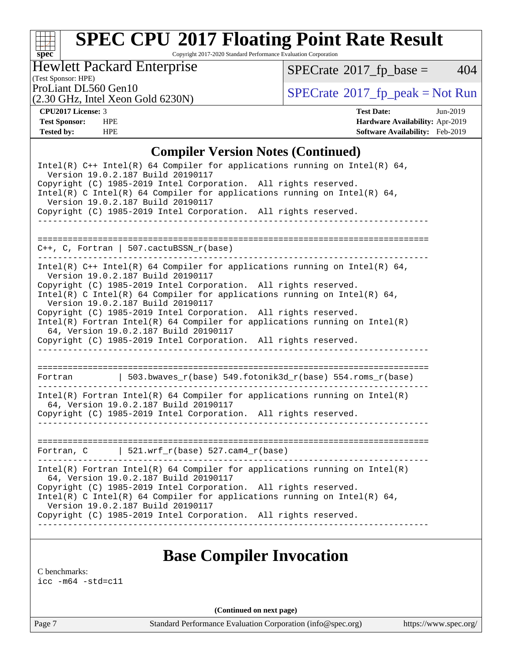

# **[SPEC CPU](http://www.spec.org/auto/cpu2017/Docs/result-fields.html#SPECCPU2017FloatingPointRateResult)[2017 Floating Point Rate Result](http://www.spec.org/auto/cpu2017/Docs/result-fields.html#SPECCPU2017FloatingPointRateResult)**

Copyright 2017-2020 Standard Performance Evaluation Corporation

#### Hewlett Packard Enterprise

 $SPECTate@2017_fp\_base = 404$ 

#### (Test Sponsor: HPE)

(2.30 GHz, Intel Xeon Gold 6230N)

ProLiant DL560 Gen10<br>(2.30 GHz, Intel Xeon Gold 6230N) [SPECrate](http://www.spec.org/auto/cpu2017/Docs/result-fields.html#SPECrate2017fppeak)®[2017\\_fp\\_peak = N](http://www.spec.org/auto/cpu2017/Docs/result-fields.html#SPECrate2017fppeak)ot Run

**[CPU2017 License:](http://www.spec.org/auto/cpu2017/Docs/result-fields.html#CPU2017License)** 3 **[Test Date:](http://www.spec.org/auto/cpu2017/Docs/result-fields.html#TestDate)** Jun-2019 **[Test Sponsor:](http://www.spec.org/auto/cpu2017/Docs/result-fields.html#TestSponsor)** HPE **[Hardware Availability:](http://www.spec.org/auto/cpu2017/Docs/result-fields.html#HardwareAvailability)** Apr-2019 **[Tested by:](http://www.spec.org/auto/cpu2017/Docs/result-fields.html#Testedby)** HPE **[Software Availability:](http://www.spec.org/auto/cpu2017/Docs/result-fields.html#SoftwareAvailability)** Feb-2019

#### **[Compiler Version Notes \(Continued\)](http://www.spec.org/auto/cpu2017/Docs/result-fields.html#CompilerVersionNotes)**

| Intel(R) $C++$ Intel(R) 64 Compiler for applications running on Intel(R) 64,<br>Version 19.0.2.187 Build 20190117<br>Copyright (C) 1985-2019 Intel Corporation. All rights reserved.<br>Intel(R) C Intel(R) 64 Compiler for applications running on Intel(R) 64,<br>Version 19.0.2.187 Build 20190117 |
|-------------------------------------------------------------------------------------------------------------------------------------------------------------------------------------------------------------------------------------------------------------------------------------------------------|
| Copyright (C) 1985-2019 Intel Corporation. All rights reserved.                                                                                                                                                                                                                                       |
|                                                                                                                                                                                                                                                                                                       |
| $C_{++}$ , C, Fortran   507.cactuBSSN_r(base)                                                                                                                                                                                                                                                         |
| Intel(R) $C++$ Intel(R) 64 Compiler for applications running on Intel(R) 64,<br>Version 19.0.2.187 Build 20190117                                                                                                                                                                                     |
| Copyright (C) 1985-2019 Intel Corporation. All rights reserved.<br>Intel(R) C Intel(R) 64 Compiler for applications running on Intel(R) 64,<br>Version 19.0.2.187 Build 20190117                                                                                                                      |
| Copyright (C) 1985-2019 Intel Corporation. All rights reserved.<br>$Intel(R)$ Fortran Intel(R) 64 Compiler for applications running on Intel(R)                                                                                                                                                       |
| 64, Version 19.0.2.187 Build 20190117<br>Copyright (C) 1985-2019 Intel Corporation. All rights reserved.<br><u>_____________________</u>                                                                                                                                                              |
| 503.bwaves_r(base) 549.fotonik3d_r(base) 554.roms_r(base)<br>Fortran                                                                                                                                                                                                                                  |
| $Intel(R)$ Fortran Intel(R) 64 Compiler for applications running on Intel(R)<br>64, Version 19.0.2.187 Build 20190117<br>Copyright (C) 1985-2019 Intel Corporation. All rights reserved.                                                                                                              |
|                                                                                                                                                                                                                                                                                                       |
| Fortran, $C$   521.wrf_r(base) 527.cam4_r(base)                                                                                                                                                                                                                                                       |
| $Intel(R)$ Fortran Intel(R) 64 Compiler for applications running on Intel(R)<br>64, Version 19.0.2.187 Build 20190117                                                                                                                                                                                 |
| Copyright (C) 1985-2019 Intel Corporation. All rights reserved.<br>Intel(R) C Intel(R) 64 Compiler for applications running on Intel(R) 64,<br>Version 19.0.2.187 Build 20190117                                                                                                                      |
| Copyright (C) 1985-2019 Intel Corporation. All rights reserved.                                                                                                                                                                                                                                       |
|                                                                                                                                                                                                                                                                                                       |

### **[Base Compiler Invocation](http://www.spec.org/auto/cpu2017/Docs/result-fields.html#BaseCompilerInvocation)**

[C benchmarks](http://www.spec.org/auto/cpu2017/Docs/result-fields.html#Cbenchmarks):

[icc -m64 -std=c11](http://www.spec.org/cpu2017/results/res2019q3/cpu2017-20190625-15662.flags.html#user_CCbase_intel_icc_64bit_c11_33ee0cdaae7deeeab2a9725423ba97205ce30f63b9926c2519791662299b76a0318f32ddfffdc46587804de3178b4f9328c46fa7c2b0cd779d7a61945c91cd35)

**(Continued on next page)**

Page 7 Standard Performance Evaluation Corporation [\(info@spec.org\)](mailto:info@spec.org) <https://www.spec.org/>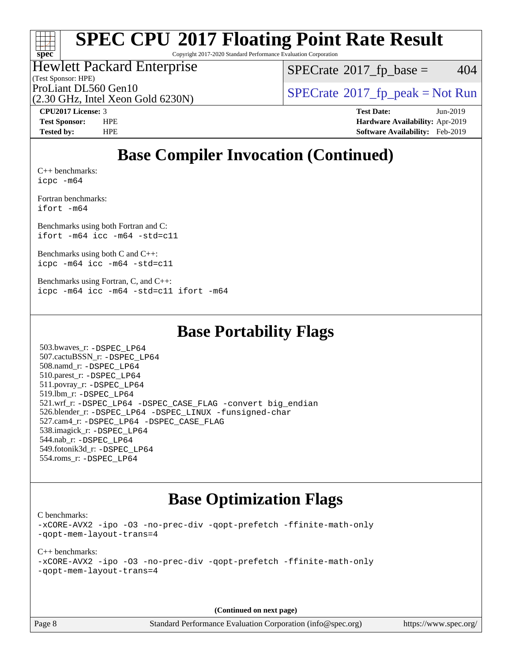

# **[SPEC CPU](http://www.spec.org/auto/cpu2017/Docs/result-fields.html#SPECCPU2017FloatingPointRateResult)[2017 Floating Point Rate Result](http://www.spec.org/auto/cpu2017/Docs/result-fields.html#SPECCPU2017FloatingPointRateResult)**

Copyright 2017-2020 Standard Performance Evaluation Corporation

### Hewlett Packard Enterprise

 $SPECTate$ <sup>®</sup>[2017\\_fp\\_base =](http://www.spec.org/auto/cpu2017/Docs/result-fields.html#SPECrate2017fpbase) 404

(Test Sponsor: HPE)

(2.30 GHz, Intel Xeon Gold 6230N)

ProLiant DL560 Gen10<br>  $SPECTATE$  [SPECrate](http://www.spec.org/auto/cpu2017/Docs/result-fields.html#SPECrate2017fppeak)®[2017\\_fp\\_peak = N](http://www.spec.org/auto/cpu2017/Docs/result-fields.html#SPECrate2017fppeak)ot Run

**[CPU2017 License:](http://www.spec.org/auto/cpu2017/Docs/result-fields.html#CPU2017License)** 3 **[Test Date:](http://www.spec.org/auto/cpu2017/Docs/result-fields.html#TestDate)** Jun-2019 **[Test Sponsor:](http://www.spec.org/auto/cpu2017/Docs/result-fields.html#TestSponsor)** HPE **[Hardware Availability:](http://www.spec.org/auto/cpu2017/Docs/result-fields.html#HardwareAvailability)** Apr-2019 **[Tested by:](http://www.spec.org/auto/cpu2017/Docs/result-fields.html#Testedby)** HPE **[Software Availability:](http://www.spec.org/auto/cpu2017/Docs/result-fields.html#SoftwareAvailability)** Feb-2019

## **[Base Compiler Invocation \(Continued\)](http://www.spec.org/auto/cpu2017/Docs/result-fields.html#BaseCompilerInvocation)**

[C++ benchmarks:](http://www.spec.org/auto/cpu2017/Docs/result-fields.html#CXXbenchmarks) [icpc -m64](http://www.spec.org/cpu2017/results/res2019q3/cpu2017-20190625-15662.flags.html#user_CXXbase_intel_icpc_64bit_4ecb2543ae3f1412ef961e0650ca070fec7b7afdcd6ed48761b84423119d1bf6bdf5cad15b44d48e7256388bc77273b966e5eb805aefd121eb22e9299b2ec9d9)

[Fortran benchmarks](http://www.spec.org/auto/cpu2017/Docs/result-fields.html#Fortranbenchmarks): [ifort -m64](http://www.spec.org/cpu2017/results/res2019q3/cpu2017-20190625-15662.flags.html#user_FCbase_intel_ifort_64bit_24f2bb282fbaeffd6157abe4f878425411749daecae9a33200eee2bee2fe76f3b89351d69a8130dd5949958ce389cf37ff59a95e7a40d588e8d3a57e0c3fd751)

[Benchmarks using both Fortran and C](http://www.spec.org/auto/cpu2017/Docs/result-fields.html#BenchmarksusingbothFortranandC): [ifort -m64](http://www.spec.org/cpu2017/results/res2019q3/cpu2017-20190625-15662.flags.html#user_CC_FCbase_intel_ifort_64bit_24f2bb282fbaeffd6157abe4f878425411749daecae9a33200eee2bee2fe76f3b89351d69a8130dd5949958ce389cf37ff59a95e7a40d588e8d3a57e0c3fd751) [icc -m64 -std=c11](http://www.spec.org/cpu2017/results/res2019q3/cpu2017-20190625-15662.flags.html#user_CC_FCbase_intel_icc_64bit_c11_33ee0cdaae7deeeab2a9725423ba97205ce30f63b9926c2519791662299b76a0318f32ddfffdc46587804de3178b4f9328c46fa7c2b0cd779d7a61945c91cd35)

[Benchmarks using both C and C++](http://www.spec.org/auto/cpu2017/Docs/result-fields.html#BenchmarksusingbothCandCXX): [icpc -m64](http://www.spec.org/cpu2017/results/res2019q3/cpu2017-20190625-15662.flags.html#user_CC_CXXbase_intel_icpc_64bit_4ecb2543ae3f1412ef961e0650ca070fec7b7afdcd6ed48761b84423119d1bf6bdf5cad15b44d48e7256388bc77273b966e5eb805aefd121eb22e9299b2ec9d9) [icc -m64 -std=c11](http://www.spec.org/cpu2017/results/res2019q3/cpu2017-20190625-15662.flags.html#user_CC_CXXbase_intel_icc_64bit_c11_33ee0cdaae7deeeab2a9725423ba97205ce30f63b9926c2519791662299b76a0318f32ddfffdc46587804de3178b4f9328c46fa7c2b0cd779d7a61945c91cd35)

[Benchmarks using Fortran, C, and C++:](http://www.spec.org/auto/cpu2017/Docs/result-fields.html#BenchmarksusingFortranCandCXX) [icpc -m64](http://www.spec.org/cpu2017/results/res2019q3/cpu2017-20190625-15662.flags.html#user_CC_CXX_FCbase_intel_icpc_64bit_4ecb2543ae3f1412ef961e0650ca070fec7b7afdcd6ed48761b84423119d1bf6bdf5cad15b44d48e7256388bc77273b966e5eb805aefd121eb22e9299b2ec9d9) [icc -m64 -std=c11](http://www.spec.org/cpu2017/results/res2019q3/cpu2017-20190625-15662.flags.html#user_CC_CXX_FCbase_intel_icc_64bit_c11_33ee0cdaae7deeeab2a9725423ba97205ce30f63b9926c2519791662299b76a0318f32ddfffdc46587804de3178b4f9328c46fa7c2b0cd779d7a61945c91cd35) [ifort -m64](http://www.spec.org/cpu2017/results/res2019q3/cpu2017-20190625-15662.flags.html#user_CC_CXX_FCbase_intel_ifort_64bit_24f2bb282fbaeffd6157abe4f878425411749daecae9a33200eee2bee2fe76f3b89351d69a8130dd5949958ce389cf37ff59a95e7a40d588e8d3a57e0c3fd751)

### **[Base Portability Flags](http://www.spec.org/auto/cpu2017/Docs/result-fields.html#BasePortabilityFlags)**

 503.bwaves\_r: [-DSPEC\\_LP64](http://www.spec.org/cpu2017/results/res2019q3/cpu2017-20190625-15662.flags.html#suite_basePORTABILITY503_bwaves_r_DSPEC_LP64) 507.cactuBSSN\_r: [-DSPEC\\_LP64](http://www.spec.org/cpu2017/results/res2019q3/cpu2017-20190625-15662.flags.html#suite_basePORTABILITY507_cactuBSSN_r_DSPEC_LP64) 508.namd\_r: [-DSPEC\\_LP64](http://www.spec.org/cpu2017/results/res2019q3/cpu2017-20190625-15662.flags.html#suite_basePORTABILITY508_namd_r_DSPEC_LP64) 510.parest\_r: [-DSPEC\\_LP64](http://www.spec.org/cpu2017/results/res2019q3/cpu2017-20190625-15662.flags.html#suite_basePORTABILITY510_parest_r_DSPEC_LP64) 511.povray\_r: [-DSPEC\\_LP64](http://www.spec.org/cpu2017/results/res2019q3/cpu2017-20190625-15662.flags.html#suite_basePORTABILITY511_povray_r_DSPEC_LP64) 519.lbm\_r: [-DSPEC\\_LP64](http://www.spec.org/cpu2017/results/res2019q3/cpu2017-20190625-15662.flags.html#suite_basePORTABILITY519_lbm_r_DSPEC_LP64) 521.wrf\_r: [-DSPEC\\_LP64](http://www.spec.org/cpu2017/results/res2019q3/cpu2017-20190625-15662.flags.html#suite_basePORTABILITY521_wrf_r_DSPEC_LP64) [-DSPEC\\_CASE\\_FLAG](http://www.spec.org/cpu2017/results/res2019q3/cpu2017-20190625-15662.flags.html#b521.wrf_r_baseCPORTABILITY_DSPEC_CASE_FLAG) [-convert big\\_endian](http://www.spec.org/cpu2017/results/res2019q3/cpu2017-20190625-15662.flags.html#user_baseFPORTABILITY521_wrf_r_convert_big_endian_c3194028bc08c63ac5d04de18c48ce6d347e4e562e8892b8bdbdc0214820426deb8554edfa529a3fb25a586e65a3d812c835984020483e7e73212c4d31a38223) 526.blender\_r: [-DSPEC\\_LP64](http://www.spec.org/cpu2017/results/res2019q3/cpu2017-20190625-15662.flags.html#suite_basePORTABILITY526_blender_r_DSPEC_LP64) [-DSPEC\\_LINUX](http://www.spec.org/cpu2017/results/res2019q3/cpu2017-20190625-15662.flags.html#b526.blender_r_baseCPORTABILITY_DSPEC_LINUX) [-funsigned-char](http://www.spec.org/cpu2017/results/res2019q3/cpu2017-20190625-15662.flags.html#user_baseCPORTABILITY526_blender_r_force_uchar_40c60f00ab013830e2dd6774aeded3ff59883ba5a1fc5fc14077f794d777847726e2a5858cbc7672e36e1b067e7e5c1d9a74f7176df07886a243d7cc18edfe67) 527.cam4\_r: [-DSPEC\\_LP64](http://www.spec.org/cpu2017/results/res2019q3/cpu2017-20190625-15662.flags.html#suite_basePORTABILITY527_cam4_r_DSPEC_LP64) [-DSPEC\\_CASE\\_FLAG](http://www.spec.org/cpu2017/results/res2019q3/cpu2017-20190625-15662.flags.html#b527.cam4_r_baseCPORTABILITY_DSPEC_CASE_FLAG) 538.imagick\_r: [-DSPEC\\_LP64](http://www.spec.org/cpu2017/results/res2019q3/cpu2017-20190625-15662.flags.html#suite_basePORTABILITY538_imagick_r_DSPEC_LP64) 544.nab\_r: [-DSPEC\\_LP64](http://www.spec.org/cpu2017/results/res2019q3/cpu2017-20190625-15662.flags.html#suite_basePORTABILITY544_nab_r_DSPEC_LP64) 549.fotonik3d\_r: [-DSPEC\\_LP64](http://www.spec.org/cpu2017/results/res2019q3/cpu2017-20190625-15662.flags.html#suite_basePORTABILITY549_fotonik3d_r_DSPEC_LP64) 554.roms\_r: [-DSPEC\\_LP64](http://www.spec.org/cpu2017/results/res2019q3/cpu2017-20190625-15662.flags.html#suite_basePORTABILITY554_roms_r_DSPEC_LP64)

### **[Base Optimization Flags](http://www.spec.org/auto/cpu2017/Docs/result-fields.html#BaseOptimizationFlags)**

[C benchmarks](http://www.spec.org/auto/cpu2017/Docs/result-fields.html#Cbenchmarks):

[-xCORE-AVX2](http://www.spec.org/cpu2017/results/res2019q3/cpu2017-20190625-15662.flags.html#user_CCbase_f-xCORE-AVX2) [-ipo](http://www.spec.org/cpu2017/results/res2019q3/cpu2017-20190625-15662.flags.html#user_CCbase_f-ipo) [-O3](http://www.spec.org/cpu2017/results/res2019q3/cpu2017-20190625-15662.flags.html#user_CCbase_f-O3) [-no-prec-div](http://www.spec.org/cpu2017/results/res2019q3/cpu2017-20190625-15662.flags.html#user_CCbase_f-no-prec-div) [-qopt-prefetch](http://www.spec.org/cpu2017/results/res2019q3/cpu2017-20190625-15662.flags.html#user_CCbase_f-qopt-prefetch) [-ffinite-math-only](http://www.spec.org/cpu2017/results/res2019q3/cpu2017-20190625-15662.flags.html#user_CCbase_f_finite_math_only_cb91587bd2077682c4b38af759c288ed7c732db004271a9512da14a4f8007909a5f1427ecbf1a0fb78ff2a814402c6114ac565ca162485bbcae155b5e4258871) [-qopt-mem-layout-trans=4](http://www.spec.org/cpu2017/results/res2019q3/cpu2017-20190625-15662.flags.html#user_CCbase_f-qopt-mem-layout-trans_fa39e755916c150a61361b7846f310bcdf6f04e385ef281cadf3647acec3f0ae266d1a1d22d972a7087a248fd4e6ca390a3634700869573d231a252c784941a8)

[C++ benchmarks:](http://www.spec.org/auto/cpu2017/Docs/result-fields.html#CXXbenchmarks) [-xCORE-AVX2](http://www.spec.org/cpu2017/results/res2019q3/cpu2017-20190625-15662.flags.html#user_CXXbase_f-xCORE-AVX2) [-ipo](http://www.spec.org/cpu2017/results/res2019q3/cpu2017-20190625-15662.flags.html#user_CXXbase_f-ipo) [-O3](http://www.spec.org/cpu2017/results/res2019q3/cpu2017-20190625-15662.flags.html#user_CXXbase_f-O3) [-no-prec-div](http://www.spec.org/cpu2017/results/res2019q3/cpu2017-20190625-15662.flags.html#user_CXXbase_f-no-prec-div) [-qopt-prefetch](http://www.spec.org/cpu2017/results/res2019q3/cpu2017-20190625-15662.flags.html#user_CXXbase_f-qopt-prefetch) [-ffinite-math-only](http://www.spec.org/cpu2017/results/res2019q3/cpu2017-20190625-15662.flags.html#user_CXXbase_f_finite_math_only_cb91587bd2077682c4b38af759c288ed7c732db004271a9512da14a4f8007909a5f1427ecbf1a0fb78ff2a814402c6114ac565ca162485bbcae155b5e4258871) [-qopt-mem-layout-trans=4](http://www.spec.org/cpu2017/results/res2019q3/cpu2017-20190625-15662.flags.html#user_CXXbase_f-qopt-mem-layout-trans_fa39e755916c150a61361b7846f310bcdf6f04e385ef281cadf3647acec3f0ae266d1a1d22d972a7087a248fd4e6ca390a3634700869573d231a252c784941a8)

**(Continued on next page)**

Page 8 Standard Performance Evaluation Corporation [\(info@spec.org\)](mailto:info@spec.org) <https://www.spec.org/>